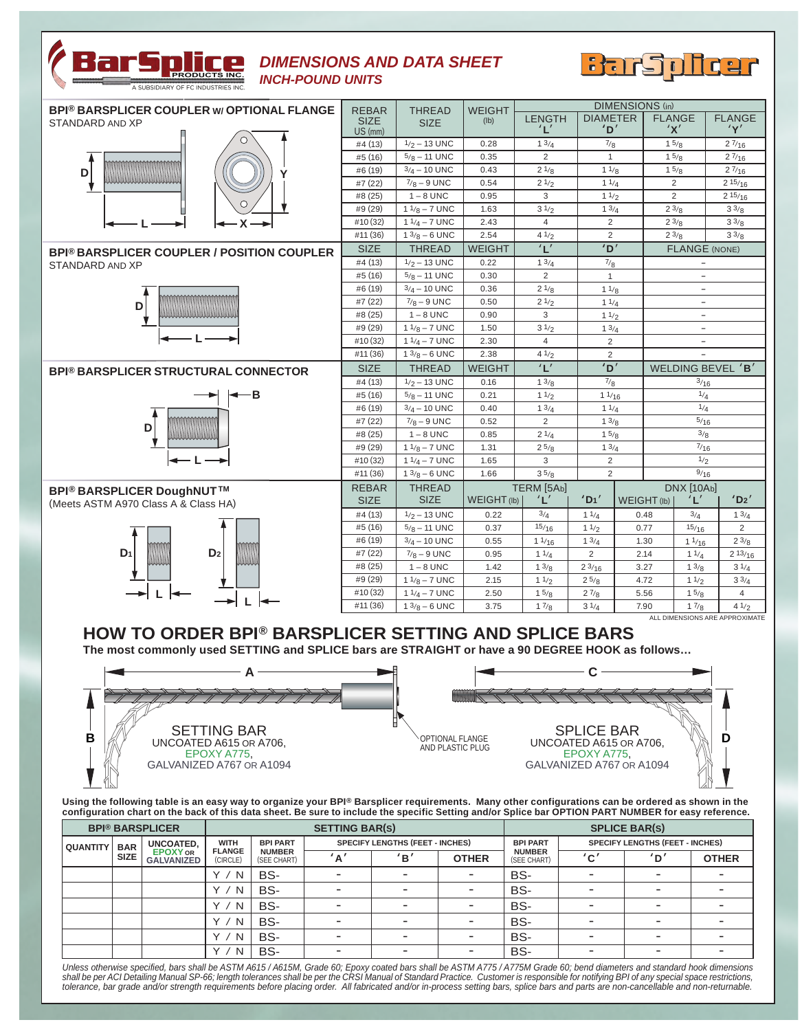

## *DIMENSIONS AND DATA SHEET INCH-POUND UNITS*



| <b>BPI® BARSPLICER COUPLER W/ OPTIONAL FLANGE</b> | <b>REBAR</b> | <b>THREAD</b><br><b>SIZE</b> | <b>WEIGHT</b><br>(lb) | <b>DIMENSIONS</b> (in) |                      |                          |                          |                                |  |
|---------------------------------------------------|--------------|------------------------------|-----------------------|------------------------|----------------------|--------------------------|--------------------------|--------------------------------|--|
| STANDARD AND XP                                   | <b>SIZE</b>  |                              |                       | <b>LENGTH</b>          | <b>DIAMETER</b>      |                          | <b>FLANGE</b>            | <b>FLANGE</b>                  |  |
|                                                   | $US$ (mm)    |                              |                       | ' L'                   | 'ם <sup>'</sup>      |                          | 'X'                      | 'Y'                            |  |
|                                                   | #4 (13)      | $1/2 - 13$ UNC               | 0.28                  | 13/4                   | 7/8                  |                          | 15/8                     | 27/16                          |  |
|                                                   | #5 (16)      | $5/8 - 11$ UNC               | 0.35                  | $\overline{2}$         | $\mathbf{1}$         |                          | 15/8                     | 27/16                          |  |
| D                                                 | #6 (19)      | $3/4 - 10$ UNC               | 0.43                  | 21/8                   | 11/8                 |                          | 15/8                     | 27/16                          |  |
|                                                   | #7 (22)      | $7/8 - 9$ UNC                | 0.54                  | 21/2                   | 11/4                 |                          | 2                        | 215/16                         |  |
|                                                   | #8(25)       | $1 - 8$ UNC                  | 0.95                  | 3                      | 11/2                 |                          | $\overline{2}$           | 215/16                         |  |
|                                                   | #9 (29)      | $11/8 - 7$ UNC               | 1.63                  | 31/2                   | 13/4                 |                          | 23/8                     | $3^{3}/8$                      |  |
| X                                                 | #10 (32)     | $11/4 - 7$ UNC               | 2.43                  | $\overline{4}$         | $\overline{2}$       |                          | 23/8                     | $3^{3/8}$                      |  |
|                                                   | #11 (36)     | $13/8 - 6$ UNC               | 2.54                  | 41/2                   | $\overline{2}$       |                          | 23/8                     | $3\frac{3}{8}$                 |  |
| <b>BPI® BARSPLICER COUPLER / POSITION COUPLER</b> | <b>SIZE</b>  | <b>THREAD</b>                | <b>WEIGHT</b>         | L'                     | <sup>י</sup> חי      |                          | <b>FLANGE (NONE)</b>     |                                |  |
| STANDARD AND XP                                   | #4 (13)      | $1/2 - 13$ UNC               | 0.22                  | 13/4                   | 7/8                  |                          |                          |                                |  |
|                                                   | #5 (16)      | $5/8 - 11$ UNC               | 0.30                  | $\overline{2}$         | $\mathbf{1}$         |                          | $-$                      |                                |  |
|                                                   | #6 (19)      | $3/4 - 10$ UNC               | 0.36                  | 21/8                   | 11/8                 | $\overline{\phantom{a}}$ |                          |                                |  |
| D                                                 | #7 (22)      | $7/8 - 9$ UNC                | 0.50                  | 21/2                   | 11/4                 |                          | $\overline{\phantom{a}}$ |                                |  |
|                                                   | #8 (25)      | $1 - 8$ UNC                  | 0.90                  | 3                      | 11/2                 |                          | $\overline{\phantom{0}}$ |                                |  |
|                                                   | #9 (29)      | $11/8 - 7$ UNC               | 1.50                  | 31/2                   | 13/4                 |                          | $\overline{\phantom{a}}$ |                                |  |
|                                                   | #10 (32)     | $11/4 - 7$ UNC               | 2.30                  | $\overline{4}$         | $\overline{2}$       |                          | $\overline{\phantom{a}}$ |                                |  |
|                                                   | #11 (36)     | $13/8 - 6$ UNC               | 2.38                  | 41/2                   | 2                    |                          |                          |                                |  |
| <b>BPI® BARSPLICER STRUCTURAL CONNECTOR</b>       | <b>SIZE</b>  | <b>THREAD</b>                | <b>WEIGHT</b>         | L'                     | D'                   |                          | WELDING BEVEL 'B'        |                                |  |
|                                                   | #4 (13)      | $1/2 - 13$ UNC               | 0.16                  | 13/8                   | 7/8                  |                          | 3/16                     |                                |  |
| -В                                                | #5 (16)      | $5/8 - 11$ UNC               | 0.21                  | 11/2                   | 11/16                |                          | 1/4                      |                                |  |
|                                                   | #6 (19)      | $3/4 - 10$ UNC               | 0.40                  | 13/4                   |                      | 11/4                     |                          | 1/4                            |  |
| D                                                 | #7 (22)      | $7/8 - 9$ UNC                | 0.52                  | 2                      |                      | 13/8                     |                          | 5/16                           |  |
|                                                   | #8 (25)      | $1 - 8$ UNC                  | 0.85                  | 21/4                   | 15/8                 |                          | 3/8                      |                                |  |
|                                                   | #9 (29)      | $11/8 - 7$ UNC               | 1.31                  | 25/8                   |                      | 13/4                     |                          | $^{7/16}$                      |  |
|                                                   | #10 (32)     | $11/4 - 7$ UNC               | 1.65                  | 3                      | 2                    |                          |                          | 1/2                            |  |
|                                                   | #11 (36)     | $13/8 - 6$ UNC               | 1.66                  | 35/8                   | 2                    |                          | 9/16                     |                                |  |
| <b>BPI<sup>®</sup> BARSPLICER DoughNUT™</b>       |              | <b>THREAD</b>                |                       | TERM [5Ab]             |                      |                          | <b>DNX</b> [10Ab]        |                                |  |
| (Meets ASTM A970 Class A & Class HA)              | <b>SIZE</b>  | <b>SIZE</b>                  | WEIGHT (lb)           | 'L'                    | $'$ D <sub>1</sub> ' | WEIGHT (Ib)              | 'L'                      | 'D2'                           |  |
|                                                   | #4 (13)      | $1/2 - 13$ UNC               | 0.22                  | 3/4                    | 11/4                 | 0.48                     | 3/4                      | 13/4                           |  |
|                                                   | #5 (16)      | $5/8 - 11$ UNC               | 0.37                  | 15/16                  | 11/2                 | 0.77                     | 15/16                    | 2                              |  |
|                                                   | #6 (19)      | $3/4 - 10$ UNC               | 0.55                  | 11/16                  | 13/4                 | 1.30                     | 11/16                    | 23/8                           |  |
| D <sub>2</sub><br>D <sub>1</sub>                  | #7 (22)      | $7/8 - 9$ UNC                | 0.95                  | 11/4                   | 2                    | 2.14                     | 11/4                     | 213/16                         |  |
|                                                   | #8(25)       | $1 - 8$ UNC                  | 1.42                  | 13/8                   | 23/16                | 3.27                     | 13/8                     | 31/4                           |  |
|                                                   | #9 (29)      | $11/8 - 7$ UNC               | 2.15                  | 11/2                   | 25/8                 | 4.72                     | 11/2                     | $3^{3/4}$                      |  |
|                                                   | #10 (32)     | $11/4 - 7$ UNC               | 2.50                  | 15/8                   | 27/8                 | 5.56                     | 15/8                     | $\overline{4}$                 |  |
| L                                                 | #11 (36)     | $13/8 - 6$ UNC               | 3.75                  | 17/8                   | 31/4                 | 7.90                     | 17/8                     | 41/2                           |  |
|                                                   |              |                              |                       |                        |                      |                          |                          | ALL DIMENSIONS ARE APPROXIMATE |  |

## **HOW TO ORDER BPI® BARSPLICER SETTING AND SPLICE BARS**

**The most commonly used SETTING and SPLICE bars are STRAIGHT or have a 90 DEGREE HOOK as follows…**



Using the following table is an easy way to organize your BPI® Barsplicer requirements. Many other configurations can be ordered as shown in the<br>configuration chart on the back of this data sheet. Be sure to include the

| <b>BPI® BARSPLICER</b> |             |                                                   | <b>SETTING BAR(S)</b>                    |                                                 |     |                                        |                          | <b>SPLICE BAR(S)</b>                            |                                        |                          |              |
|------------------------|-------------|---------------------------------------------------|------------------------------------------|-------------------------------------------------|-----|----------------------------------------|--------------------------|-------------------------------------------------|----------------------------------------|--------------------------|--------------|
| <b>QUANTITY</b>        | <b>BAR</b>  | UNCOATED,<br><b>EPOXY OR</b><br><b>GALVANIZED</b> | <b>WITH</b><br><b>FLANGE</b><br>(CIRCLE) | <b>BPI PART</b><br><b>NUMBER</b><br>(SEE CHART) |     | <b>SPECIFY LENGTHS (FEET - INCHES)</b> |                          | <b>BPI PART</b><br><b>NUMBER</b><br>(SEE CHART) | <b>SPECIFY LENGTHS (FEET - INCHES)</b> |                          |              |
|                        | <b>SIZE</b> |                                                   |                                          |                                                 | 'A' | 'B'                                    | <b>OTHER</b>             |                                                 | C'                                     | 'D'                      | <b>OTHER</b> |
|                        |             |                                                   | N<br>$\checkmark$                        | BS-                                             |     |                                        |                          | BS-                                             |                                        |                          |              |
|                        |             |                                                   | $\checkmark$<br>N                        | BS-                                             |     |                                        | $\overline{\phantom{a}}$ | BS-                                             |                                        | -                        |              |
|                        |             |                                                   | $\checkmark$<br>N                        | BS-                                             |     | $\equiv$                               | ۰                        | BS-                                             |                                        | -                        |              |
|                        |             |                                                   | N                                        | BS-                                             |     |                                        |                          | BS-                                             |                                        | $\overline{\phantom{0}}$ |              |
|                        |             |                                                   | N                                        | BS-                                             |     |                                        |                          | BS-                                             |                                        | -                        |              |
|                        |             |                                                   | N<br>$\checkmark$                        | BS-                                             |     |                                        |                          | BS-                                             |                                        | $\overline{\phantom{0}}$ |              |

Unless otherwise specified, bars shall be ASTM A615/A615M, Grade 60; Epoxy coated bars shall be ASTM A775/A775M Grade 60; bend diameters and standard hook dimensions<br>shall be per ACI Detailing Manual SP-66; length toleranc